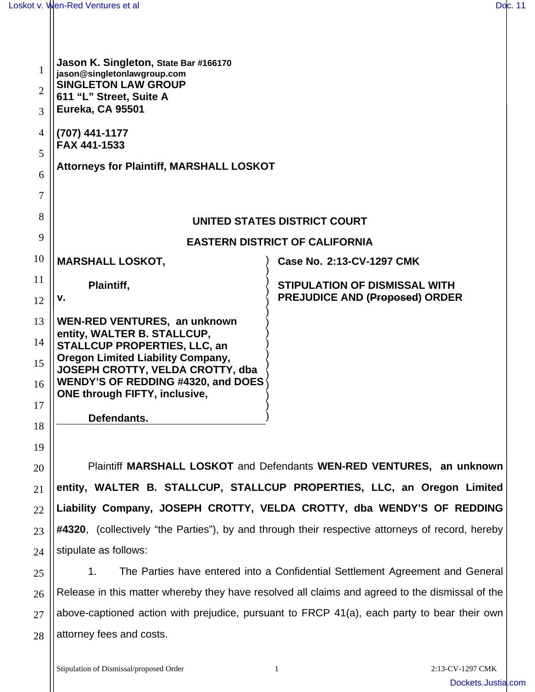| 1<br>$\overline{2}$ | Jason K. Singleton, State Bar #166170<br>jason@singletonlawgroup.com<br><b>SINGLETON LAW GROUP</b>           |                                                                               |  |
|---------------------|--------------------------------------------------------------------------------------------------------------|-------------------------------------------------------------------------------|--|
| 3                   | 611 "L" Street, Suite A<br><b>Eureka, CA 95501</b>                                                           |                                                                               |  |
| 4                   | (707) 441-1177<br>FAX 441-1533                                                                               |                                                                               |  |
| 5<br>6              | <b>Attorneys for Plaintiff, MARSHALL LOSKOT</b>                                                              |                                                                               |  |
| 7                   |                                                                                                              |                                                                               |  |
| 8                   | UNITED STATES DISTRICT COURT                                                                                 |                                                                               |  |
| 9                   | <b>EASTERN DISTRICT OF CALIFORNIA</b>                                                                        |                                                                               |  |
| 10                  | <b>MARSHALL LOSKOT,</b>                                                                                      | Case No. 2:13-CV-1297 CMK                                                     |  |
| 11                  | Plaintiff,<br>v.                                                                                             | <b>STIPULATION OF DISMISSAL WITH</b><br><b>PREJUDICE AND (Proposed) ORDER</b> |  |
| 12                  |                                                                                                              |                                                                               |  |
| 13<br>14            | WEN-RED VENTURES, an unknown<br>entity, WALTER B. STALLCUP,                                                  |                                                                               |  |
| 15                  | STALLCUP PROPERTIES, LLC, an<br><b>Oregon Limited Liability Company,</b><br>JOSEPH CROTTY, VELDA CROTTY, dba |                                                                               |  |
| 16                  | <b>WENDY'S OF REDDING #4320, and DOES</b><br><b>ONE through FIFTY, inclusive,</b>                            |                                                                               |  |
| 17                  | Defendants.                                                                                                  |                                                                               |  |
| 18                  |                                                                                                              |                                                                               |  |
| 19<br>20            | Plaintiff MARSHALL LOSKOT and Defendants WEN-RED VENTURES, an unknown                                        |                                                                               |  |
| 21                  | entity, WALTER B. STALLCUP, STALLCUP PROPERTIES, LLC, an Oregon Limited                                      |                                                                               |  |
| 22                  |                                                                                                              | Liability Company, JOSEPH CROTTY, VELDA CROTTY, dba WENDY'S OF REDDING        |  |
|                     | #4320, (collectively "the Parties"), by and through their respective attorneys of record, hereby             |                                                                               |  |
| 23                  | stipulate as follows:                                                                                        |                                                                               |  |
| 24                  |                                                                                                              |                                                                               |  |
| 25                  | The Parties have entered into a Confidential Settlement Agreement and General<br>1.                          |                                                                               |  |
| 26                  | Release in this matter whereby they have resolved all claims and agreed to the dismissal of the              |                                                                               |  |
| 27                  | above-captioned action with prejudice, pursuant to FRCP 41(a), each party to bear their own                  |                                                                               |  |

28 attorney fees and costs.